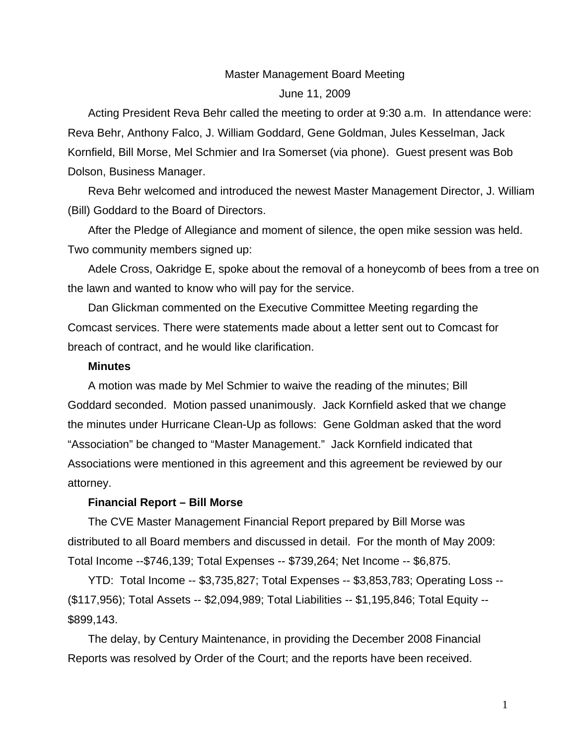# Master Management Board Meeting June 11, 2009

Acting President Reva Behr called the meeting to order at 9:30 a.m. In attendance were: Reva Behr, Anthony Falco, J. William Goddard, Gene Goldman, Jules Kesselman, Jack Kornfield, Bill Morse, Mel Schmier and Ira Somerset (via phone). Guest present was Bob Dolson, Business Manager.

Reva Behr welcomed and introduced the newest Master Management Director, J. William (Bill) Goddard to the Board of Directors.

After the Pledge of Allegiance and moment of silence, the open mike session was held. Two community members signed up:

Adele Cross, Oakridge E, spoke about the removal of a honeycomb of bees from a tree on the lawn and wanted to know who will pay for the service.

Dan Glickman commented on the Executive Committee Meeting regarding the Comcast services. There were statements made about a letter sent out to Comcast for breach of contract, and he would like clarification.

#### **Minutes**

A motion was made by Mel Schmier to waive the reading of the minutes; Bill Goddard seconded. Motion passed unanimously. Jack Kornfield asked that we change the minutes under Hurricane Clean-Up as follows: Gene Goldman asked that the word "Association" be changed to "Master Management." Jack Kornfield indicated that Associations were mentioned in this agreement and this agreement be reviewed by our attorney.

#### **Financial Report – Bill Morse**

The CVE Master Management Financial Report prepared by Bill Morse was distributed to all Board members and discussed in detail. For the month of May 2009: Total Income --\$746,139; Total Expenses -- \$739,264; Net Income -- \$6,875.

YTD: Total Income -- \$3,735,827; Total Expenses -- \$3,853,783; Operating Loss -- (\$117,956); Total Assets -- \$2,094,989; Total Liabilities -- \$1,195,846; Total Equity -- \$899,143.

The delay, by Century Maintenance, in providing the December 2008 Financial Reports was resolved by Order of the Court; and the reports have been received.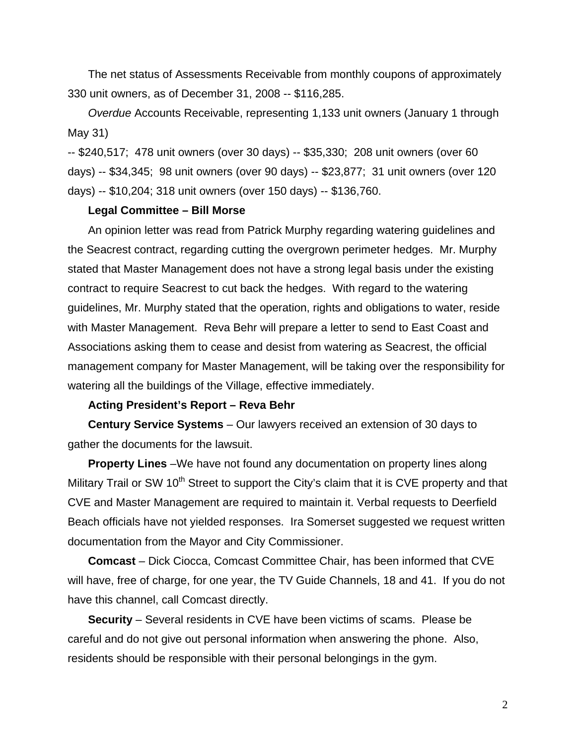The net status of Assessments Receivable from monthly coupons of approximately 330 unit owners, as of December 31, 2008 -- \$116,285.

*Overdue* Accounts Receivable, representing 1,133 unit owners (January 1 through May 31)

-- \$240,517; 478 unit owners (over 30 days) -- \$35,330; 208 unit owners (over 60 days) -- \$34,345; 98 unit owners (over 90 days) -- \$23,877; 31 unit owners (over 120 days) -- \$10,204; 318 unit owners (over 150 days) -- \$136,760.

#### **Legal Committee – Bill Morse**

An opinion letter was read from Patrick Murphy regarding watering guidelines and the Seacrest contract, regarding cutting the overgrown perimeter hedges. Mr. Murphy stated that Master Management does not have a strong legal basis under the existing contract to require Seacrest to cut back the hedges. With regard to the watering guidelines, Mr. Murphy stated that the operation, rights and obligations to water, reside with Master Management. Reva Behr will prepare a letter to send to East Coast and Associations asking them to cease and desist from watering as Seacrest, the official management company for Master Management, will be taking over the responsibility for watering all the buildings of the Village, effective immediately.

#### **Acting President's Report – Reva Behr**

**Century Service Systems** – Our lawyers received an extension of 30 days to gather the documents for the lawsuit.

**Property Lines** *–*We have not found any documentation on property lines along Military Trail or SW  $10<sup>th</sup>$  Street to support the City's claim that it is CVE property and that CVE and Master Management are required to maintain it. Verbal requests to Deerfield Beach officials have not yielded responses. Ira Somerset suggested we request written documentation from the Mayor and City Commissioner.

**Comcast** *–* Dick Ciocca, Comcast Committee Chair, has been informed that CVE will have, free of charge, for one year, the TV Guide Channels, 18 and 41. If you do not have this channel, call Comcast directly.

**Security** – Several residents in CVE have been victims of scams. Please be careful and do not give out personal information when answering the phone. Also, residents should be responsible with their personal belongings in the gym.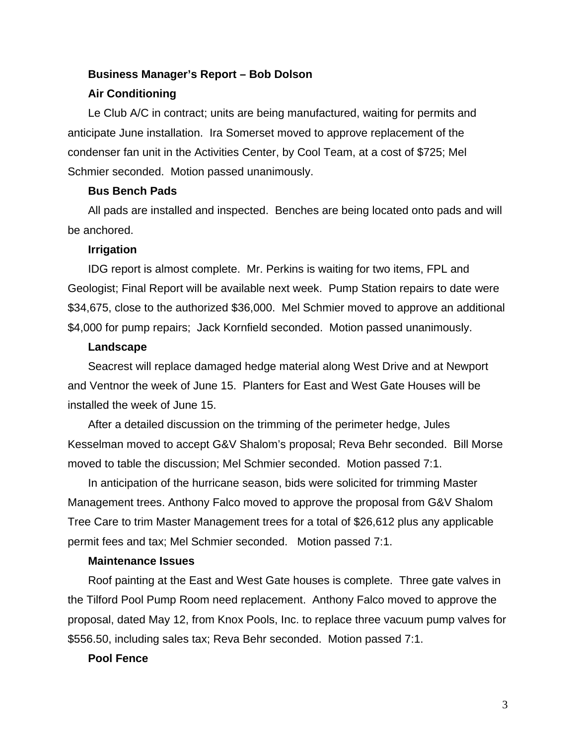# **Business Manager's Report – Bob Dolson**

## **Air Conditioning**

Le Club A/C in contract; units are being manufactured, waiting for permits and anticipate June installation. Ira Somerset moved to approve replacement of the condenser fan unit in the Activities Center, by Cool Team, at a cost of \$725; Mel Schmier seconded. Motion passed unanimously.

### **Bus Bench Pads**

All pads are installed and inspected. Benches are being located onto pads and will be anchored.

#### **Irrigation**

IDG report is almost complete. Mr. Perkins is waiting for two items, FPL and Geologist; Final Report will be available next week. Pump Station repairs to date were \$34,675, close to the authorized \$36,000. Mel Schmier moved to approve an additional \$4,000 for pump repairs; Jack Kornfield seconded. Motion passed unanimously.

## **Landscape**

Seacrest will replace damaged hedge material along West Drive and at Newport and Ventnor the week of June 15. Planters for East and West Gate Houses will be installed the week of June 15.

After a detailed discussion on the trimming of the perimeter hedge, Jules Kesselman moved to accept G&V Shalom's proposal; Reva Behr seconded. Bill Morse moved to table the discussion; Mel Schmier seconded. Motion passed 7:1.

In anticipation of the hurricane season, bids were solicited for trimming Master Management trees. Anthony Falco moved to approve the proposal from G&V Shalom Tree Care to trim Master Management trees for a total of \$26,612 plus any applicable permit fees and tax; Mel Schmier seconded. Motion passed 7:1.

## **Maintenance Issues**

Roof painting at the East and West Gate houses is complete. Three gate valves in the Tilford Pool Pump Room need replacement. Anthony Falco moved to approve the proposal, dated May 12, from Knox Pools, Inc. to replace three vacuum pump valves for \$556.50, including sales tax; Reva Behr seconded. Motion passed 7:1.

## **Pool Fence**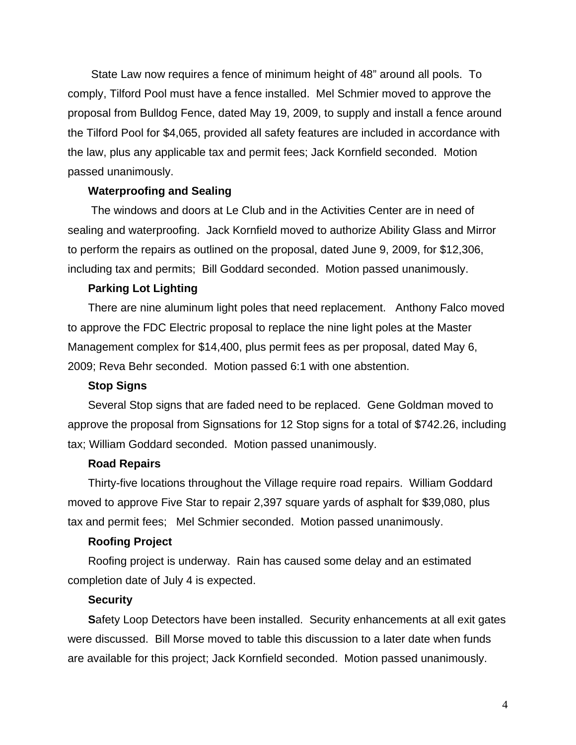State Law now requires a fence of minimum height of 48" around all pools. To comply, Tilford Pool must have a fence installed. Mel Schmier moved to approve the proposal from Bulldog Fence, dated May 19, 2009, to supply and install a fence around the Tilford Pool for \$4,065, provided all safety features are included in accordance with the law, plus any applicable tax and permit fees; Jack Kornfield seconded. Motion passed unanimously.

## **Waterproofing and Sealing**

The windows and doors at Le Club and in the Activities Center are in need of sealing and waterproofing. Jack Kornfield moved to authorize Ability Glass and Mirror to perform the repairs as outlined on the proposal, dated June 9, 2009, for \$12,306, including tax and permits; Bill Goddard seconded. Motion passed unanimously.

## **Parking Lot Lighting**

There are nine aluminum light poles that need replacement. Anthony Falco moved to approve the FDC Electric proposal to replace the nine light poles at the Master Management complex for \$14,400, plus permit fees as per proposal, dated May 6, 2009; Reva Behr seconded. Motion passed 6:1 with one abstention.

## **Stop Signs**

Several Stop signs that are faded need to be replaced. Gene Goldman moved to approve the proposal from Signsations for 12 Stop signs for a total of \$742.26, including tax; William Goddard seconded. Motion passed unanimously.

## **Road Repairs**

Thirty-five locations throughout the Village require road repairs. William Goddard moved to approve Five Star to repair 2,397 square yards of asphalt for \$39,080, plus tax and permit fees; Mel Schmier seconded. Motion passed unanimously.

#### **Roofing Project**

Roofing project is underway. Rain has caused some delay and an estimated completion date of July 4 is expected.

## **Security**

**S**afety Loop Detectors have been installed. Security enhancements at all exit gates were discussed. Bill Morse moved to table this discussion to a later date when funds are available for this project; Jack Kornfield seconded. Motion passed unanimously.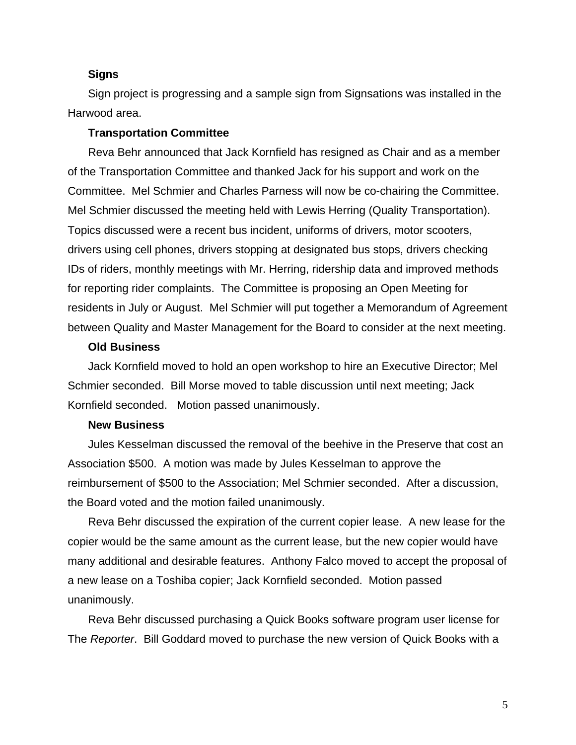#### **Signs**

Sign project is progressing and a sample sign from Signsations was installed in the Harwood area.

#### **Transportation Committee**

Reva Behr announced that Jack Kornfield has resigned as Chair and as a member of the Transportation Committee and thanked Jack for his support and work on the Committee. Mel Schmier and Charles Parness will now be co-chairing the Committee. Mel Schmier discussed the meeting held with Lewis Herring (Quality Transportation). Topics discussed were a recent bus incident, uniforms of drivers, motor scooters, drivers using cell phones, drivers stopping at designated bus stops, drivers checking IDs of riders, monthly meetings with Mr. Herring, ridership data and improved methods for reporting rider complaints. The Committee is proposing an Open Meeting for residents in July or August. Mel Schmier will put together a Memorandum of Agreement between Quality and Master Management for the Board to consider at the next meeting.

## **Old Business**

Jack Kornfield moved to hold an open workshop to hire an Executive Director; Mel Schmier seconded. Bill Morse moved to table discussion until next meeting; Jack Kornfield seconded. Motion passed unanimously.

## **New Business**

Jules Kesselman discussed the removal of the beehive in the Preserve that cost an Association \$500. A motion was made by Jules Kesselman to approve the reimbursement of \$500 to the Association; Mel Schmier seconded. After a discussion, the Board voted and the motion failed unanimously.

Reva Behr discussed the expiration of the current copier lease. A new lease for the copier would be the same amount as the current lease, but the new copier would have many additional and desirable features. Anthony Falco moved to accept the proposal of a new lease on a Toshiba copier; Jack Kornfield seconded. Motion passed unanimously.

Reva Behr discussed purchasing a Quick Books software program user license for The *Reporter*. Bill Goddard moved to purchase the new version of Quick Books with a